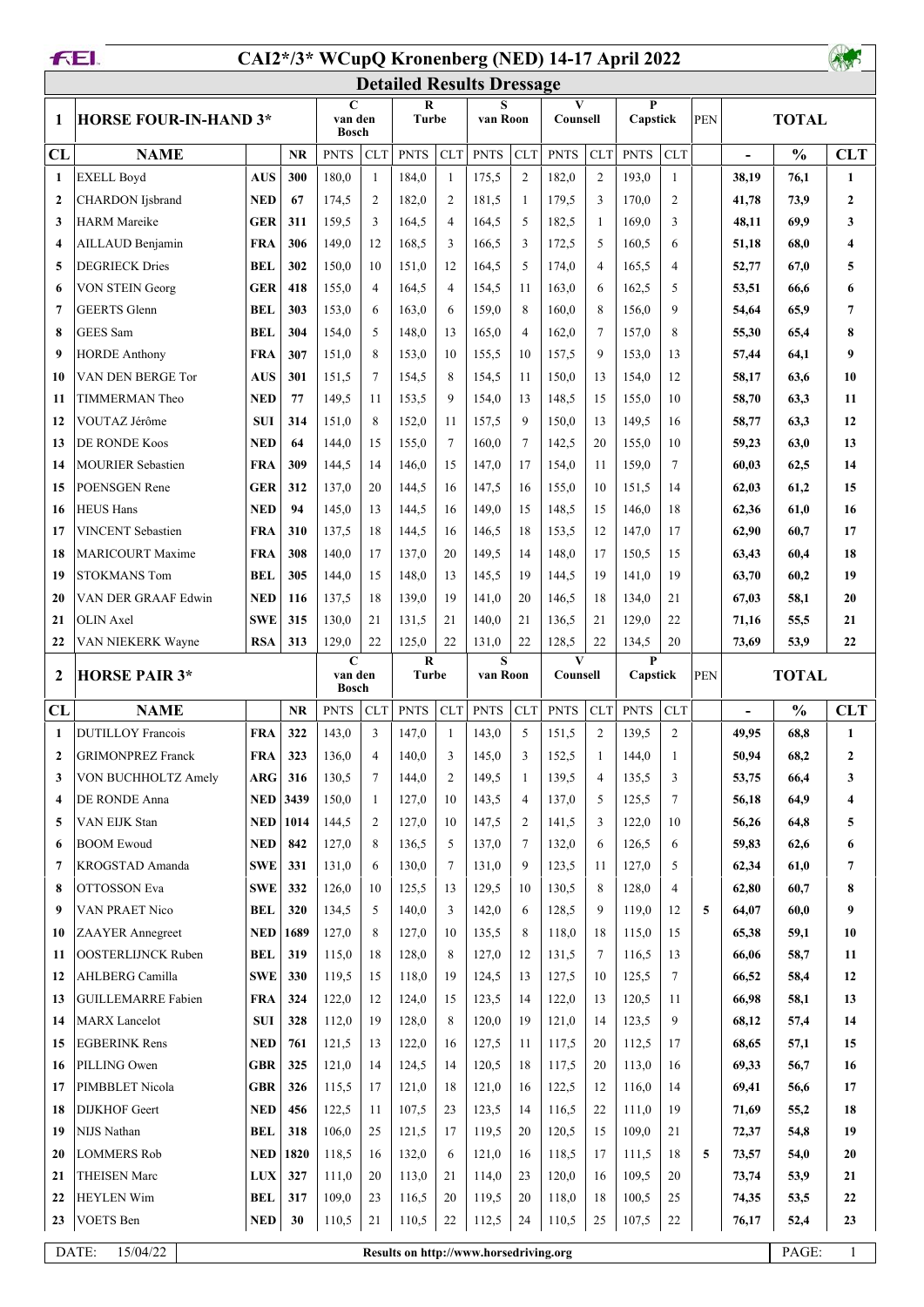## **CAI2\*/3\* WCupQ Kronenberg (NED) 14-17 April 2022**



|                         |                              |            |                 |                                        |                |                                        |                | <b>Detailed Results Dressage</b> |                |                          |                |               |                |     |                              |               |                |
|-------------------------|------------------------------|------------|-----------------|----------------------------------------|----------------|----------------------------------------|----------------|----------------------------------|----------------|--------------------------|----------------|---------------|----------------|-----|------------------------------|---------------|----------------|
| 1                       | <b>HORSE FOUR-IN-HAND 3*</b> |            |                 | $\mathbf C$<br>van den<br><b>Bosch</b> |                | R<br><b>Turbe</b>                      |                | van Roon                         |                | $\mathbf{V}$<br>Counsell |                | P<br>Capstick |                | PEN | <b>TOTAL</b>                 |               |                |
| CL                      | <b>NAME</b>                  |            | <b>NR</b>       | <b>PNTS</b>                            | <b>CLT</b>     | <b>PNTS</b>                            | CLT            | <b>PNTS</b>                      | <b>CLT</b>     | <b>PNTS</b>              | <b>CLT</b>     | <b>PNTS</b>   | CLT            |     | $\qquad \qquad \blacksquare$ | $\frac{0}{0}$ | <b>CLT</b>     |
| $\mathbf{1}$            | <b>EXELL Boyd</b>            | <b>AUS</b> | 300             | 180,0                                  | $\mathbf{1}$   | 184,0                                  | $\mathbf{1}$   | 175,5                            | 2              | 182,0                    | $\mathfrak{2}$ | 193,0         | $\mathbf{1}$   |     | 38,19                        | 76,1          | 1              |
| $\overline{2}$          | <b>CHARDON</b> Ijsbrand      | <b>NED</b> | 67              | 174,5                                  | $\overline{2}$ | 182,0                                  | $\overline{2}$ | 181,5                            | -1             | 179,5                    | 3              | 170,0         | 2              |     | 41,78                        | 73,9          | $\mathbf{2}$   |
| $\mathbf{3}$            | <b>HARM</b> Mareike          | GER        | 311             | 159.5                                  | 3              | 164,5                                  | $\overline{4}$ | 164,5                            | 5              | 182,5                    | 1              | 169,0         | 3              |     | 48,11                        | 69,9          | 3              |
| $\overline{\mathbf{4}}$ | AILLAUD Benjamin             | FRA        | 306             | 149,0                                  | 12             | 168,5                                  | 3              | 166,5                            | 3              | 172,5                    | 5              | 160,5         | 6              |     | 51,18                        | 68,0          | 4              |
| 5                       | <b>DEGRIECK Dries</b>        | <b>BEL</b> | 302             | 150,0                                  | 10             | 151,0                                  | 12             | 164,5                            | 5              | 174,0                    | $\overline{4}$ | 165,5         | $\overline{4}$ |     | 52,77                        | 67,0          | 5              |
| 6                       | <b>VON STEIN Georg</b>       | GER        | 418             | 155,0                                  | $\overline{4}$ | 164,5                                  | $\overline{4}$ | 154,5                            | 11             | 163,0                    | 6              | 162,5         | 5              |     | 53,51                        | 66,6          | 6              |
| $\overline{7}$          | <b>GEERTS</b> Glenn          | <b>BEL</b> | 303             | 153,0                                  | 6              | 163,0                                  | 6              | 159,0                            | 8              | 160,0                    | 8              | 156,0         | 9              |     | 54,64                        | 65,9          | 7              |
| 8                       | <b>GEES</b> Sam              | <b>BEL</b> | 304             | 154,0                                  | 5              | 148,0                                  | 13             | 165,0                            | $\overline{4}$ | 162,0                    | $\overline{7}$ | 157,0         | 8              |     | 55,30                        | 65,4          | 8              |
| 9                       | <b>HORDE Anthony</b>         | <b>FRA</b> | 307             | 151,0                                  | 8              | 153,0                                  | 10             | 155,5                            | 10             | 157,5                    | 9              | 153,0         | 13             |     | 57,44                        | 64,1          | 9              |
| 10                      | VAN DEN BERGE Tor            | <b>AUS</b> | 301             | 151,5                                  | $\overline{7}$ | 154,5                                  | 8              | 154,5                            | 11             | 150,0                    | 13             | 154,0         | 12             |     | 58,17                        | 63,6          | 10             |
| 11                      | TIMMERMAN Theo               | <b>NED</b> | 77              | 149,5                                  | 11             | 153,5                                  | 9              | 154,0                            | 13             | 148,5                    | 15             | 155,0         | 10             |     | 58,70                        | 63,3          | 11             |
| 12                      | VOUTAZ Jérôme                | <b>SUI</b> | 314             | 151,0                                  | 8              | 152,0                                  | 11             | 157,5                            | 9              | 150,0                    | 13             | 149,5         | 16             |     | 58,77                        | 63,3          | 12             |
| 13                      | <b>DE RONDE Koos</b>         | <b>NED</b> | 64              | 144,0                                  | 15             | 155,0                                  | 7              | 160,0                            | $\tau$         | 142,5                    | 20             | 155,0         | 10             |     | 59,23                        | 63,0          | 13             |
| 14                      | <b>MOURIER Sebastien</b>     | <b>FRA</b> | 309             | 144,5                                  | 14             | 146,0                                  | 15             | 147,0                            | 17             | 154,0                    | 11             | 159,0         | $\tau$         |     | 60,03                        | 62,5          | 14             |
| 15                      | POENSGEN Rene                | GER        | 312             | 137,0                                  | 20             | 144,5                                  | 16             | 147,5                            | 16             | 155,0                    | 10             | 151,5         | 14             |     | 62,03                        | 61,2          | 15             |
| 16                      | <b>HEUS Hans</b>             | <b>NED</b> | 94              | 145,0                                  | 13             | 144,5                                  | 16             | 149,0                            | 15             | 148,5                    | 15             | 146,0         | 18             |     | 62,36                        | 61,0          | 16             |
| 17                      | <b>VINCENT</b> Sebastien     | <b>FRA</b> | 310             | 137.5                                  | 18             | 144,5                                  | 16             | 146,5                            | 18             | 153,5                    | 12             | 147,0         | 17             |     | 62,90                        | 60.7          | 17             |
| 18                      | <b>MARICOURT Maxime</b>      | FRA        | 308             | 140,0                                  | 17             | 137,0                                  | 20             | 149,5                            | 14             | 148,0                    | 17             | 150,5         | 15             |     | 63,43                        | 60,4          | 18             |
| 19                      | <b>STOKMANS Tom</b>          | <b>BEL</b> | 305             | 144,0                                  | 15             | 148,0                                  | 13             | 145,5                            | 19             | 144,5                    | 19             | 141,0         | 19             |     | 63,70                        | 60,2          | 19             |
| 20                      | VAN DER GRAAF Edwin          | <b>NED</b> | 116             | 137,5                                  | 18             | 139,0                                  | 19             | 141,0                            | 20             | 146,5                    | 18             | 134,0         | 21             |     | 67,03                        | 58,1          | 20             |
| 21                      | <b>OLIN</b> Axel             | <b>SWE</b> | 315             | 130,0                                  | 21             | 131,5                                  | 21             | 140,0                            | 21             | 136,5                    | 21             | 129,0         | 22             |     | 71,16                        | 55,5          | 21             |
| 22                      | VAN NIEKERK Wayne            | <b>RSA</b> | 313             | 129,0                                  | 22             | 125,0                                  | 22             | 131,0                            | 22             | 128,5                    | 22             | 134,5         | 20             |     | 73,69                        | 53,9          | 22             |
| $\overline{2}$          | <b>HORSE PAIR 3*</b>         |            |                 | $\mathbf C$<br>van den<br><b>Bosch</b> |                | R<br><b>Turbe</b>                      |                | S<br>van Roon                    |                | $\mathbf{V}$<br>Counsell |                | P<br>Capstick |                | PEN |                              | <b>TOTAL</b>  |                |
| <b>CL</b>               | <b>NAME</b>                  |            | <b>NR</b>       | <b>PNTS</b>                            | <b>CLT</b>     | <b>PNTS</b>                            | <b>CLT</b>     | <b>PNTS</b>                      | <b>CLT</b>     | <b>PNTS</b>              | <b>CLT</b>     | <b>PNTS</b>   | <b>CLT</b>     |     |                              | $\frac{0}{0}$ | <b>CLT</b>     |
| 1                       | <b>DUTILLOY Francois</b>     | <b>FRA</b> | 322             | 143,0                                  | 3              | 147,0                                  | $\mathbf{1}$   | 143,0                            | 5              | 151,5                    | $\overline{c}$ | 139,5         | $\overline{c}$ |     | 49,95                        | 68,8          | 1              |
| $\overline{2}$          | <b>GRIMONPREZ Franck</b>     | <b>FRA</b> | 323             | 136,0                                  | $\overline{4}$ | 140,0                                  | 3              | 145,0                            | 3              | 152,5                    | -1             | 144,0         | 1              |     | 50,94                        | 68,2          | $\overline{2}$ |
| 3                       | VON BUCHHOLTZ Amely          | ARG        | 316             | 130,5                                  | 7              | 144,0                                  | 2              | 149,5                            | 1              | 139,5                    | 4              | 135,5         | 3              |     | 53,75                        | 66,4          | 3              |
| $\overline{\mathbf{4}}$ | DE RONDE Anna                |            | <b>NED</b> 3439 | 150,0                                  | 1              | 127,0                                  | 10             | 143,5                            | $\overline{4}$ | 137,0                    | 5              | 125,5         | $\tau$         |     | 56,18                        | 64,9          | 4              |
| 5                       | VAN EIJK Stan                | NED        | 1014            | 144,5                                  | $\overline{2}$ | 127,0                                  | 10             | 147,5                            | 2              | 141,5                    | 3              | 122,0         | 10             |     | 56,26                        | 64,8          | 5              |
| 6                       | <b>BOOM Ewoud</b>            | NED        | 842             | 127,0                                  | 8              | 136,5                                  | 5              | 137,0                            | 7              | 132,0                    | 6              | 126,5         | 6              |     | 59,83                        | 62,6          | 6              |
| 7                       | KROGSTAD Amanda              | SWE        | 331             | 131,0                                  | 6              | 130,0                                  | $\tau$         | 131,0                            | 9              | 123,5                    | 11             | 127,0         | 5              |     | 62,34                        | 61,0          | 7              |
| -8                      | OTTOSSON Eva                 | SWE        | 332             | 126,0                                  | 10             | 125,5                                  | 13             | 129,5                            | 10             | 130,5                    | 8              | 128,0         | $\overline{4}$ |     | 62,80                        | 60,7          | 8              |
| -9                      | VAN PRAET Nico               | BEL        | 320             | 134,5                                  | 5              | 140,0                                  | 3              | 142,0                            | 6              | 128,5                    | 9              | 119,0         | 12             | 5   | 64,07                        | 60,0          | 9              |
| 10                      | <b>ZAAYER</b> Annegreet      | <b>NED</b> | 1689            | 127,0                                  | 8              | 127,0                                  | 10             | 135,5                            | 8              | 118,0                    | 18             | 115,0         | 15             |     | 65,38                        | 59,1          | 10             |
| 11                      | <b>OOSTERLIJNCK Ruben</b>    | BEL        | 319             | 115,0                                  | 18             | 128,0                                  | 8              | 127,0                            | 12             | 131,5                    | 7              | 116,5         | 13             |     | 66,06                        | 58,7          | 11             |
| 12                      | AHLBERG Camilla              | <b>SWE</b> | 330             | 119,5                                  | 15             | 118,0                                  | 19             | 124,5                            | 13             | 127,5                    | 10             | 125,5         | $\tau$         |     | 66,52                        | 58,4          | 12             |
| 13                      | <b>GUILLEMARRE Fabien</b>    | <b>FRA</b> | 324             | 122,0                                  | 12             | 124,0                                  | 15             | 123,5                            | 14             | 122,0                    | 13             | 120,5         | 11             |     | 66,98                        | 58,1          | 13             |
| 14                      | <b>MARX</b> Lancelot         | <b>SUI</b> | 328             | 112,0                                  | 19             | 128,0                                  | 8              | 120,0                            | 19             | 121,0                    | 14             | 123,5         | 9              |     | 68,12                        | 57,4          | 14             |
| 15                      | <b>EGBERINK Rens</b>         | <b>NED</b> | 761             | 121,5                                  | 13             | 122,0                                  | 16             | 127,5                            | 11             | 117,5                    | 20             | 112,5         | 17             |     | 68,65                        | 57,1          | 15             |
| 16                      | PILLING Owen                 | <b>GBR</b> | 325             | 121,0                                  | 14             | 124,5                                  | 14             | 120,5                            | 18             | 117,5                    | 20             | 113,0         | 16             |     | 69,33                        | 56,7          | 16             |
| 17                      | PIMBBLET Nicola              | <b>GBR</b> | 326             | 115,5                                  | 17             | 121,0                                  | 18             | 121,0                            | 16             | 122,5                    | 12             | 116,0         | 14             |     | 69,41                        | 56,6          | 17             |
| 18                      | <b>DIJKHOF</b> Geert         | <b>NED</b> | 456             | 122,5                                  | 11             | 107,5                                  | 23             | 123,5                            | 14             | 116,5                    | 22             | 111,0         | 19             |     | 71,69                        | 55,2          | 18             |
| 19                      | NIJS Nathan                  | BEL        | 318             | 106,0                                  | 25             | 121,5                                  | 17             | 119,5                            | 20             | 120,5                    | 15             | 109,0         | 21             |     | 72,37                        | 54,8          | 19             |
| 20                      | <b>LOMMERS Rob</b>           | <b>NED</b> | 1820            | 118,5                                  | 16             | 132,0                                  | 6              | 121,0                            | 16             | 118,5                    | 17             | 111,5         | 18             | 5   | 73,57                        | 54,0          | 20             |
| 21                      | <b>THEISEN Marc</b>          | <b>LUX</b> | 327             | 111,0                                  | 20             | 113,0                                  | 21             | 114,0                            | 23             | 120,0                    | 16             | 109,5         | 20             |     | 73,74                        | 53,9          | 21             |
| 22                      | HEYLEN Wim                   | BEL        | 317             | 109,0                                  | 23             | 116,5                                  | 20             | 119,5                            | 20             | 118,0                    | 18             | 100,5         | 25             |     | 74,35                        | 53,5          | 22             |
| 23                      | <b>VOETS</b> Ben             | <b>NED</b> | 30              | 110,5                                  | 21             | 110,5                                  | 22             | 112,5                            | 24             | 110,5                    | 25             | 107,5         | 22             |     | 76,17                        | 52,4          | 23             |
|                         | DATE:<br>15/04/22            |            |                 |                                        |                | Results on http://www.horsedriving.org |                |                                  |                |                          |                |               |                |     |                              | PAGE:         | $\mathbf{1}$   |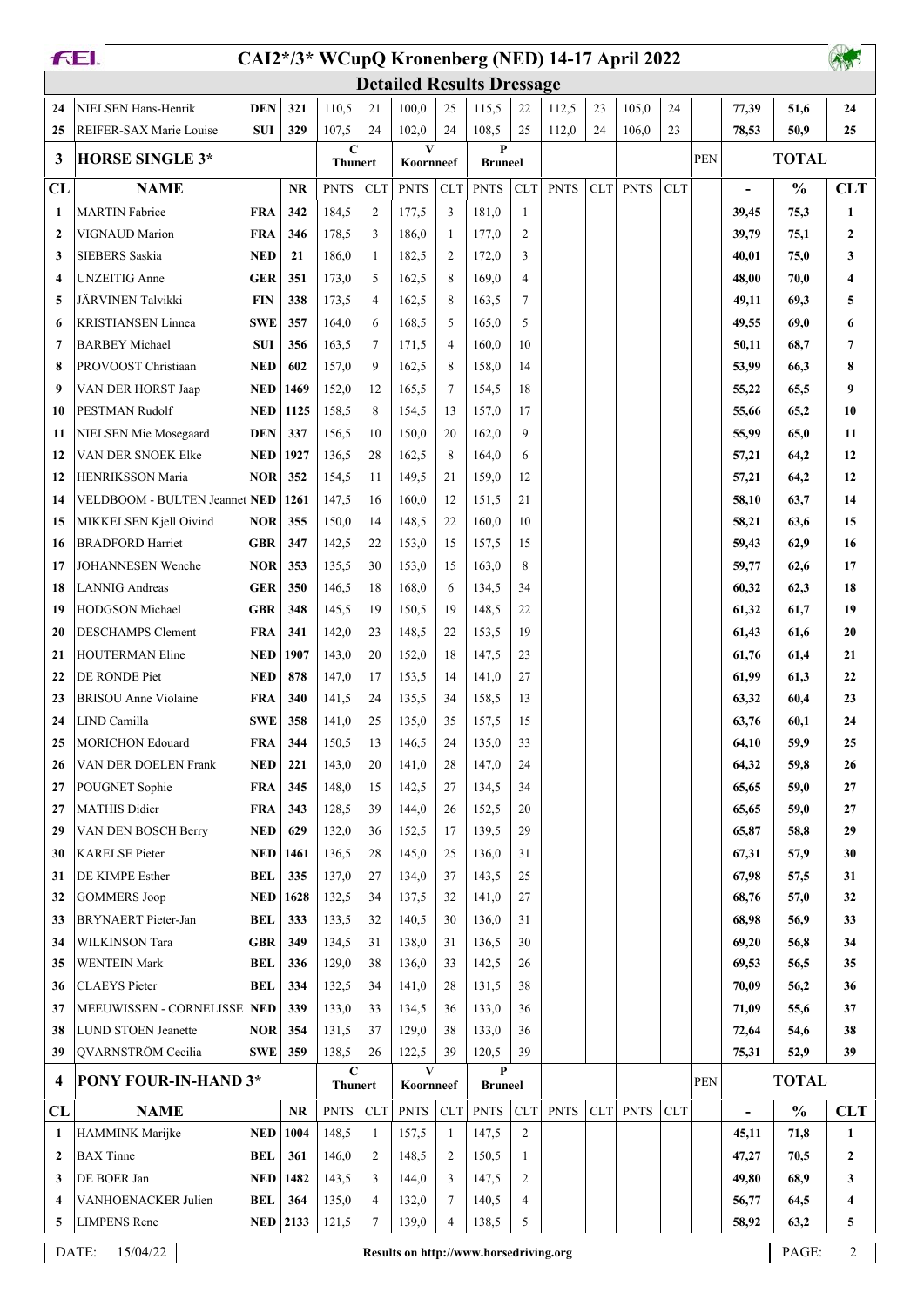|                | FEI.                                 |            |                 |                               |                |                                        |                |                                  |                | CAI2*/3* WCupQ Kronenberg (NED) 14-17 April 2022 |            |             |            |            |                          |               |                |
|----------------|--------------------------------------|------------|-----------------|-------------------------------|----------------|----------------------------------------|----------------|----------------------------------|----------------|--------------------------------------------------|------------|-------------|------------|------------|--------------------------|---------------|----------------|
|                |                                      |            |                 |                               |                |                                        |                | <b>Detailed Results Dressage</b> |                |                                                  |            |             |            |            |                          |               |                |
| 24             | NIELSEN Hans-Henrik                  | <b>DEN</b> | 321             | 110.5                         | 21             | 100,0                                  | 25             | 115,5                            | 22             | 112,5                                            | 23         | 105,0       | 24         |            | 77,39                    | 51,6          | 24             |
| 25             | REIFER-SAX Marie Louise              | <b>SUI</b> | 329             | 107,5                         | 24             | 102,0                                  | 24             | 108,5                            | 25             | 112,0                                            | 24         | 106,0       | 23         |            | 78,53                    | 50,9          | 25             |
| 3              | <b>HORSE SINGLE 3*</b>               |            |                 | $\mathbf C$<br><b>Thunert</b> |                | V<br>Koornneef                         |                | P<br><b>Bruneel</b>              |                |                                                  |            |             |            | <b>PEN</b> |                          | <b>TOTAL</b>  |                |
| CL             | <b>NAME</b>                          |            | <b>NR</b>       | <b>PNTS</b>                   | <b>CLT</b>     | <b>PNTS</b>                            | <b>CLT</b>     | <b>PNTS</b>                      | <b>CLT</b>     | <b>PNTS</b>                                      | <b>CLT</b> | <b>PNTS</b> | <b>CLT</b> |            | $\overline{\phantom{0}}$ | $\frac{0}{0}$ | <b>CLT</b>     |
| 1              | <b>MARTIN</b> Fabrice                | <b>FRA</b> | 342             | 184,5                         | $\overline{c}$ | 177,5                                  | 3              | 181,0                            | $\mathbf{1}$   |                                                  |            |             |            |            | 39,45                    | 75,3          | 1              |
| $\overline{2}$ | VIGNAUD Marion                       | <b>FRA</b> | 346             | 178.5                         | 3              | 186,0                                  | -1             | 177,0                            | $\overline{c}$ |                                                  |            |             |            |            | 39,79                    | 75,1          | $\mathbf{2}$   |
| 3              | <b>SIEBERS</b> Saskia                | <b>NED</b> | 21              | 186,0                         | 1              | 182,5                                  | $\overline{2}$ | 172,0                            | 3              |                                                  |            |             |            |            | 40,01                    | 75,0          | 3              |
| 4              | <b>UNZEITIG Anne</b>                 | <b>GER</b> | 351             | 173,0                         | 5              | 162,5                                  | 8              | 169,0                            | $\overline{4}$ |                                                  |            |             |            |            | 48,00                    | 70,0          | 4              |
| 5              | JÄRVINEN Talvikki                    | <b>FIN</b> | 338             | 173.5                         | 4              | 162,5                                  | 8              | 163,5                            | $\tau$         |                                                  |            |             |            |            | 49,11                    | 69,3          | 5              |
| 6              | <b>KRISTIANSEN Linnea</b>            | SWE        | 357             | 164,0                         | 6              | 168,5                                  | 5              | 165,0                            | 5              |                                                  |            |             |            |            | 49,55                    | 69,0          | 6              |
| 7              | <b>BARBEY</b> Michael                | <b>SUI</b> | 356             | 163,5                         | 7              | 171,5                                  | $\overline{4}$ | 160,0                            | 10             |                                                  |            |             |            |            | 50,11                    | 68,7          | 7              |
| 8              | PROVOOST Christiaan                  | <b>NED</b> | 602             | 157,0                         | 9              | 162,5                                  | 8              | 158,0                            | 14             |                                                  |            |             |            |            | 53,99                    | 66,3          | 8              |
| 9              | VAN DER HORST Jaap                   | NED        | 1469            | 152,0                         | 12             | 165,5                                  | $\overline{7}$ | 154,5                            | 18             |                                                  |            |             |            |            | 55,22                    | 65,5          | 9              |
| 10             | PESTMAN Rudolf                       | <b>NED</b> | 1125            | 158.5                         | 8              | 154,5                                  | 13             | 157,0                            | 17             |                                                  |            |             |            |            | 55,66                    | 65,2          | 10             |
| 11             | NIELSEN Mie Mosegaard                | <b>DEN</b> | 337             | 156.5                         | 10             | 150,0                                  | 20             | 162,0                            | 9              |                                                  |            |             |            |            | 55,99                    | 65,0          | 11             |
| 12             | VAN DER SNOEK Elke                   | <b>NED</b> | 1927            | 136,5                         | 28             | 162,5                                  | 8              | 164,0                            | 6              |                                                  |            |             |            |            | 57,21                    | 64,2          | 12             |
| 12             | HENRIKSSON Maria                     | <b>NOR</b> | 352             | 154,5                         | 11             | 149,5                                  | 21             | 159,0                            | 12             |                                                  |            |             |            |            | 57,21                    | 64,2          | 12             |
| 14             | <b>VELDBOOM - BULTEN Jeannet NED</b> |            | 1261            | 147,5                         | 16             | 160,0                                  | 12             | 151,5                            | 21             |                                                  |            |             |            |            | 58,10                    | 63,7          | 14             |
| 15             | MIKKELSEN Kjell Oivind               | <b>NOR</b> | 355             | 150,0                         | 14             | 148,5                                  | 22             | 160,0                            | 10             |                                                  |            |             |            |            | 58,21                    | 63,6          | 15             |
| 16             | <b>BRADFORD Harriet</b>              | <b>GBR</b> | 347             | 142,5                         | 22             | 153,0                                  | 15             | 157,5                            | 15             |                                                  |            |             |            |            | 59,43                    | 62,9          | 16             |
| 17             | JOHANNESEN Wenche                    | <b>NOR</b> | 353             | 135,5                         | 30             | 153,0                                  | 15             | 163,0                            | 8              |                                                  |            |             |            |            | 59,77                    | 62,6          | 17             |
| 18             | <b>LANNIG Andreas</b>                | <b>GER</b> | 350             | 146,5                         | 18             | 168,0                                  | 6              | 134,5                            | 34             |                                                  |            |             |            |            | 60,32                    | 62,3          | 18             |
| 19             | HODGSON Michael                      | <b>GBR</b> | 348             | 145,5                         | 19             | 150,5                                  | 19             | 148,5                            | 22             |                                                  |            |             |            |            | 61,32                    | 61,7          | 19             |
| 20             | <b>DESCHAMPS Clement</b>             | <b>FRA</b> | 341             | 142,0                         | 23             | 148,5                                  | 22             | 153,5                            | 19             |                                                  |            |             |            |            | 61,43                    | 61,6          | 20             |
| 21             | <b>HOUTERMAN Eline</b>               | <b>NED</b> | 1907            | 143,0                         | 20             | 152,0                                  | 18             | 147,5                            | 23             |                                                  |            |             |            |            | 61,76                    | 61,4          | 21             |
| 22             | DE RONDE Piet                        | NED        | 878             | 147,0                         | 17             | 153,5                                  | 14             | 141,0                            | 27             |                                                  |            |             |            |            | 61,99                    | 61,3          | 22             |
| 23             | <b>BRISOU</b> Anne Violaine          | <b>FRA</b> | 340             | 141,5                         | 24             | 135,5                                  | 34             | 158,5                            | 13             |                                                  |            |             |            |            | 63,32                    | 60,4          | 23             |
| 24             | LIND Camilla                         | <b>SWE</b> | 358             | 141,0                         | 25             | 135,0                                  | 35             | 157,5                            | 15             |                                                  |            |             |            |            | 63,76                    | 60,1          | 24             |
| 25             | <b>MORICHON Edouard</b>              | FRA        | 344             | 150,5                         | 13             | 146,5                                  | 24             | 135,0                            | 33             |                                                  |            |             |            |            | 64,10                    | 59,9          | 25             |
| 26             | VAN DER DOELEN Frank                 | <b>NED</b> | 221             | 143,0                         | 20             | 141,0                                  | 28             | 147,0                            | 24             |                                                  |            |             |            |            | 64,32                    | 59,8          | 26             |
| 27             | POUGNET Sophie                       | <b>FRA</b> | 345             | 148,0                         | 15             | 142,5                                  | 27             | 134,5                            | 34             |                                                  |            |             |            |            | 65,65                    | 59,0          | 27             |
| 27             | <b>MATHIS Didier</b>                 | <b>FRA</b> | 343             | 128,5                         | 39             | 144,0                                  | 26             | 152,5                            | 20             |                                                  |            |             |            |            | 65,65                    | 59,0          | 27             |
| 29             | VAN DEN BOSCH Berry                  | NED        | 629             | 132,0                         | 36             | 152,5                                  | 17             | 139,5                            | 29             |                                                  |            |             |            |            | 65,87                    | 58,8          | 29             |
| 30             | <b>KARELSE Pieter</b>                | NED        | 1461            | 136,5                         | 28             | 145,0                                  | 25             | 136,0                            | 31             |                                                  |            |             |            |            | 67,31                    | 57,9          | 30             |
| 31             | DE KIMPE Esther                      | BEL        | 335             | 137,0                         | 27             | 134,0                                  | 37             | 143,5                            | 25             |                                                  |            |             |            |            | 67,98                    | 57,5          | 31             |
| 32             | <b>GOMMERS Joop</b>                  | NED        | 1628            | 132,5                         | 34             | 137,5                                  | 32             | 141,0                            | 27             |                                                  |            |             |            |            | 68,76                    | 57,0          | 32             |
| 33             | <b>BRYNAERT</b> Pieter-Jan           | BEL        | 333             | 133,5                         | 32             | 140,5                                  | 30             | 136,0                            | 31             |                                                  |            |             |            |            | 68,98                    | 56,9          | 33             |
| 34             | <b>WILKINSON Tara</b>                | <b>GBR</b> | 349             | 134,5                         | 31             | 138,0                                  | 31             | 136,5                            | 30             |                                                  |            |             |            |            | 69,20                    | 56,8          | 34             |
| 35             | <b>WENTEIN Mark</b>                  | BEL        | 336             | 129,0                         | 38             | 136,0                                  | 33             | 142,5                            | 26             |                                                  |            |             |            |            | 69,53                    | 56,5          | 35             |
| 36             | <b>CLAEYS</b> Pieter                 | BEL        | 334             | 132,5                         | 34             | 141,0                                  | 28             | 131,5                            | 38             |                                                  |            |             |            |            | 70,09                    | 56,2          | 36             |
| 37             | MEEUWISSEN - CORNELISSE              | <b>NED</b> | 339             | 133,0                         | 33             | 134,5                                  | 36             | 133,0                            | 36             |                                                  |            |             |            |            | 71,09                    | 55,6          | 37             |
| 38             | <b>LUND STOEN Jeanette</b>           | NOR.       | 354             | 131,5                         | 37             | 129,0                                  | 38             | 133,0                            | 36             |                                                  |            |             |            |            | 72,64                    | 54,6          | 38             |
| 39             | <b>OVARNSTRÖM</b> Cecilia            | <b>SWE</b> | 359             | 138,5                         | 26             | 122,5                                  | 39             | 120,5                            | 39             |                                                  |            |             |            |            | 75,31                    | 52,9          | 39             |
| 4              | PONY FOUR-IN-HAND 3*                 |            |                 | $\mathbf C$<br><b>Thunert</b> |                | $\mathbf{V}$<br>Koornneef              |                | $\mathbf{P}$<br><b>Bruneel</b>   |                |                                                  |            |             |            | <b>PEN</b> |                          | <b>TOTAL</b>  |                |
| CL             | <b>NAME</b>                          |            | <b>NR</b>       | <b>PNTS</b>                   | <b>CLT</b>     | <b>PNTS</b>                            | <b>CLT</b>     | <b>PNTS</b>                      | CLT            | <b>PNTS</b>                                      | CLT        | <b>PNTS</b> | <b>CLT</b> |            | $\overline{\phantom{0}}$ | $\frac{0}{0}$ | <b>CLT</b>     |
| 1              | HAMMINK Marijke                      | NED        | 1004            | 148,5                         | 1              | 157,5                                  | -1             | 147,5                            | 2              |                                                  |            |             |            |            | 45,11                    | 71,8          | 1              |
| $\mathbf{2}$   | <b>BAX</b> Tinne                     | <b>BEL</b> | 361             | 146,0                         | 2              | 148,5                                  | 2              | 150,5                            | 1              |                                                  |            |             |            |            | 47,27                    | 70,5          | $\overline{2}$ |
| 3              | DE BOER Jan                          | NED        | 1482            | 143,5                         | 3              | 144,0                                  | 3              | 147,5                            | $\mathfrak{2}$ |                                                  |            |             |            |            | 49,80                    | 68,9          | 3              |
| 4              | VANHOENACKER Julien                  | BEL        | 364             | 135,0                         | 4              | 132,0                                  | 7              | 140,5                            | 4              |                                                  |            |             |            |            | 56,77                    | 64,5          | 4              |
| 5              | <b>LIMPENS</b> Rene                  |            | <b>NED</b> 2133 | 121,5                         | 7              | 139,0                                  | 4              | 138,5                            | 5              |                                                  |            |             |            |            | 58,92                    | 63,2          | 5              |
|                | DATE:<br>15/04/22                    |            |                 |                               |                | Results on http://www.horsedriving.org |                |                                  |                |                                                  |            |             |            |            |                          | PAGE:         | $\overline{2}$ |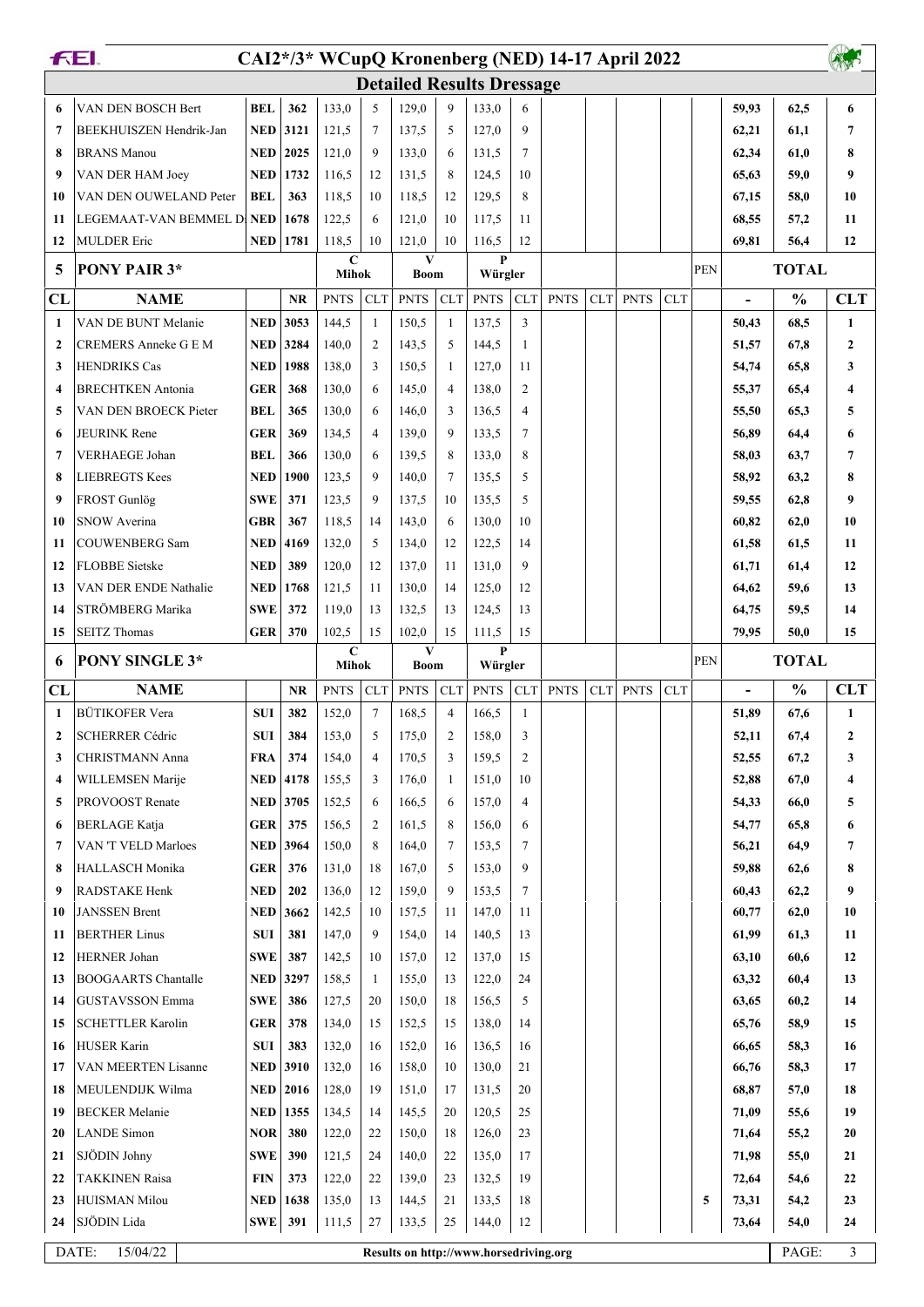|              | FEI.<br>CAI2*/3* WCupQ Kronenberg (NED) 14-17 April 2022 |            |                  |                      |                |                                                 |                       |                        |                |             |            |             |            |            |                                   |               |                  |
|--------------|----------------------------------------------------------|------------|------------------|----------------------|----------------|-------------------------------------------------|-----------------------|------------------------|----------------|-------------|------------|-------------|------------|------------|-----------------------------------|---------------|------------------|
|              |                                                          |            |                  |                      |                | <b>Detailed Results Dressage</b>                |                       |                        |                |             |            |             |            |            |                                   |               |                  |
| 6            | VAN DEN BOSCH Bert                                       | <b>BEL</b> | 362              | 133,0                | 5              | 129,0                                           | 9                     | 133,0                  | 6              |             |            |             |            |            | 59,93                             | 62,5          | 6                |
| 7            | BEEKHUISZEN Hendrik-Jan                                  | NED        | 3121             | 121,5                | 7              | 137,5                                           | 5                     | 127,0                  | 9              |             |            |             |            |            | 62,21                             | 61,1          | 7                |
| 8            | <b>BRANS</b> Manou                                       | <b>NED</b> | 2025             | 121,0                | $\mathbf Q$    | 133,0                                           | 6                     | 131,5                  | $\tau$         |             |            |             |            |            | 62,34                             | 61,0          | 8                |
| 9            | VAN DER HAM Joey                                         | NED        | 1732             | 116,5                | 12             | 131,5                                           | 8                     | 124,5                  | 10             |             |            |             |            |            | 65,63                             | 59,0          | 9                |
| 10           | VAN DEN OUWELAND Peter                                   | <b>BEL</b> | 363              | 118,5                | 10             | 118,5                                           | 12                    | 129,5                  | 8              |             |            |             |            |            | 67,15                             | 58,0          | 10               |
| 11           | LEGEMAAT-VAN BEMMEL DI NED                               |            | 1678             | 122,5                | 6              | 121,0                                           | 10                    | 117,5                  | 11             |             |            |             |            |            | 68,55                             | 57,2          | 11               |
| 12           | <b>MULDER Eric</b>                                       | NED        | 1781             | 118,5                | 10             | 121,0                                           | 10                    | 116,5                  | 12             |             |            |             |            |            | 69,81                             | 56,4          | 12               |
| 5            | <b>PONY PAIR 3*</b>                                      |            |                  | $\mathbf C$          |                | V                                               |                       | P                      |                |             |            |             |            | <b>PEN</b> |                                   | <b>TOTAL</b>  |                  |
| CL           | <b>NAME</b>                                              |            | NR               | Mihok<br><b>PNTS</b> | <b>CLT</b>     | <b>Boom</b><br><b>PNTS</b>                      | <b>CLT</b>            | Würgler<br><b>PNTS</b> | <b>CLT</b>     | <b>PNTS</b> | <b>CLT</b> | <b>PNTS</b> | <b>CLT</b> |            |                                   | $\frac{0}{0}$ | <b>CLT</b>       |
| 1            | VAN DE BUNT Melanie                                      | <b>NED</b> | 3053             | 144,5                | 1              | 150,5                                           | 1                     | 137,5                  | 3              |             |            |             |            |            | $\overline{\phantom{a}}$<br>50,43 | 68,5          | $\mathbf{1}$     |
| $\mathbf{2}$ | CREMERS Anneke G E M                                     | <b>NED</b> | 3284             | 140,0                | $\overline{2}$ | 143,5                                           | 5                     | 144,5                  | 1              |             |            |             |            |            | 51,57                             | 67,8          | $\boldsymbol{2}$ |
| 3            | <b>HENDRIKS Cas</b>                                      | <b>NED</b> | 1988             | 138,0                | 3              | 150,5                                           | 1                     | 127,0                  | 11             |             |            |             |            |            | 54,74                             | 65,8          | 3                |
| 4            | <b>BRECHTKEN</b> Antonia                                 | <b>GER</b> | 368              | 130,0                | 6              | 145,0                                           | $\overline{4}$        | 138,0                  | 2              |             |            |             |            |            | 55,37                             | 65,4          | 4                |
| 5            | VAN DEN BROECK Pieter                                    | <b>BEL</b> | 365              | 130,0                | 6              | 146,0                                           | 3                     | 136,5                  | $\overline{4}$ |             |            |             |            |            | 55,50                             | 65,3          | 5                |
| 6            | <b>JEURINK Rene</b>                                      | <b>GER</b> | 369              | 134,5                | $\overline{4}$ | 139,0                                           | 9                     | 133,5                  | 7              |             |            |             |            |            | 56,89                             | 64,4          | 6                |
| 7            | VERHAEGE Johan                                           | <b>BEL</b> | 366              | 130,0                | 6              | 139,5                                           | 8                     | 133,0                  | 8              |             |            |             |            |            | 58,03                             | 63,7          | 7                |
| 8            | <b>LIEBREGTS Kees</b>                                    | <b>NED</b> | 1900             | 123,5                | 9              | 140,0                                           | $7\phantom{.0}$       | 135,5                  | 5              |             |            |             |            |            | 58,92                             | 63,2          | 8                |
| 9            | FROST Gunlög                                             | <b>SWE</b> | 371              | 123,5                | 9              | 137,5                                           | 10                    | 135,5                  | 5              |             |            |             |            |            | 59,55                             | 62,8          | 9                |
| 10           | <b>SNOW Averina</b>                                      | <b>GBR</b> | 367              | 118,5                | 14             | 143,0                                           | 6                     | 130,0                  | 10             |             |            |             |            |            | 60,82                             | 62,0          | 10               |
| 11           | <b>COUWENBERG Sam</b>                                    | <b>NED</b> | 4169             | 132,0                | 5              | 134,0                                           | 12                    | 122,5                  | 14             |             |            |             |            |            | 61,58                             | 61,5          | 11               |
| 12           | <b>FLOBBE</b> Sietske                                    | <b>NED</b> | 389              | 120,0                | 12             | 137,0                                           | -11                   | 131,0                  | 9              |             |            |             |            |            | 61,71                             | 61,4          | 12               |
| 13           | VAN DER ENDE Nathalie                                    | <b>NED</b> | 1768             | 121,5                | 11             | 130,0                                           | 14                    | 125,0                  | 12             |             |            |             |            |            | 64,62                             | 59,6          | 13               |
| 14           | STRÖMBERG Marika                                         | <b>SWE</b> | 372              | 119,0                | 13             | 132,5                                           | 13                    | 124,5                  | 13             |             |            |             |            |            | 64,75                             | 59,5          | 14               |
| 15           | <b>SEITZ Thomas</b>                                      | <b>GER</b> | 370              | 102,5                | 15             | 102,0                                           | 15                    | 111,5                  | 15             |             |            |             |            |            | 79,95                             | 50,0          | 15               |
| 6            | <b>PONY SINGLE 3*</b>                                    |            |                  | $\mathbf C$          |                | V                                               |                       | P                      |                |             |            |             |            | <b>PEN</b> |                                   | <b>TOTAL</b>  |                  |
|              |                                                          |            |                  | Mihok                |                | <b>Boom</b>                                     |                       | Würgler                |                |             |            |             |            |            |                                   |               |                  |
| CL           | <b>NAME</b><br><b>BÜTIKOFER Vera</b>                     |            | <b>NR</b><br>382 | <b>PNTS</b>          | <b>CLT</b>     | <b>PNTS</b>                                     | CLT<br>$\overline{4}$ | <b>PNTS</b><br>166,5   | <b>CLT</b>     | <b>PNTS</b> | CLT        | <b>PNTS</b> | <b>CLT</b> |            | $\overline{\phantom{a}}$          | $\frac{0}{0}$ | <b>CLT</b>       |
| 1            |                                                          | <b>SUI</b> |                  |                      | $\overline{7}$ | 168,5                                           |                       |                        | 1              |             |            |             |            |            |                                   |               |                  |
|              |                                                          |            |                  | 152,0                |                |                                                 |                       |                        |                |             |            |             |            |            | 51,89                             | 67,6          | $\mathbf{1}$     |
| $\mathbf{2}$ | <b>SCHERRER Cédric</b>                                   | SUI        | 384              | 153,0                | 5              | 175,0                                           | $\overline{c}$        | 158,0                  | 3              |             |            |             |            |            | 52,11                             | 67,4          | 2                |
| 3            | <b>CHRISTMANN Anna</b>                                   | <b>FRA</b> | 374              | 154,0                | 4              | 170,5                                           | 3                     | 159,5                  | 2              |             |            |             |            |            | 52,55                             | 67,2          | 3                |
| 4            | WILLEMSEN Marije                                         |            | <b>NED</b> 4178  | 155,5                | 3              | 176,0                                           | 1                     | 151,0                  | 10             |             |            |             |            |            | 52,88                             | 67,0          | 4                |
| 5            | PROVOOST Renate                                          | NED        | 3705             | 152,5                | 6              | 166,5                                           | 6                     | 157,0                  | $\overline{4}$ |             |            |             |            |            | 54,33                             | 66,0          | 5                |
| 6            | <b>BERLAGE Katja</b>                                     | <b>GER</b> | 375              | 156,5                | 2              | 161,5                                           | 8                     | 156,0                  | 6              |             |            |             |            |            | 54,77                             | 65,8          | 6                |
| 7            | VAN 'T VELD Marloes                                      |            | <b>NED</b> 3964  | 150,0                | 8              | 164,0                                           | 7                     | 153,5                  | 7              |             |            |             |            |            | 56,21                             | 64,9          | 7                |
| 8            | <b>HALLASCH Monika</b>                                   | GER        | 376              | 131,0                | 18             | 167,0                                           | 5                     | 153,0                  | 9              |             |            |             |            |            | 59,88                             | 62,6          | 8                |
| 9            | RADSTAKE Henk                                            | <b>NED</b> | 202              | 136,0                | 12             | 159,0                                           | 9                     | 153,5                  | $\tau$         |             |            |             |            |            | 60,43                             | 62,2          | 9                |
| 10           | <b>JANSSEN Brent</b>                                     | NED        | 3662             | 142,5                | 10             | 157,5                                           | 11                    | 147,0                  | 11             |             |            |             |            |            | 60,77                             | 62,0          | 10               |
| 11           | <b>BERTHER Linus</b>                                     | <b>SUI</b> | 381              | 147,0                | 9              | 154,0                                           | 14                    | 140,5                  | 13             |             |            |             |            |            | 61,99                             | 61,3          | 11               |
| 12           | <b>HERNER Johan</b>                                      | <b>SWE</b> | 387              | 142,5                | 10             | 157,0                                           | 12                    | 137,0                  | 15             |             |            |             |            |            | 63,10                             | 60,6          | 12               |
| 13           | <b>BOOGAARTS Chantalle</b>                               | NED        | 3297             | 158,5                | -1             | 155,0                                           | 13                    | 122,0                  | 24             |             |            |             |            |            | 63,32                             | 60,4          | 13               |
| 14           | <b>GUSTAVSSON Emma</b>                                   | <b>SWE</b> | 386              | 127,5                | 20             | 150,0                                           | 18                    | 156,5                  | 5              |             |            |             |            |            | 63,65                             | 60,2          | 14               |
| 15           | <b>SCHETTLER Karolin</b>                                 | GER        | 378              | 134,0                | 15             | 152,5                                           | 15                    | 138,0                  | 14             |             |            |             |            |            | 65,76                             | 58,9          | 15               |
| 16           | <b>HUSER Karin</b>                                       | <b>SUI</b> | 383              | 132,0                | 16             | 152,0                                           | 16                    | 136,5                  | 16             |             |            |             |            |            | 66,65                             | 58,3          | 16               |
| 17           | VAN MEERTEN Lisanne                                      |            | <b>NED</b> 3910  | 132,0                | 16             | 158,0                                           | 10                    | 130,0                  | 21             |             |            |             |            |            | 66,76                             | 58,3          | 17               |
| 18           | MEULENDIJK Wilma                                         | NED        | 2016             | 128,0                | 19             | 151,0                                           | 17                    | 131,5                  | 20             |             |            |             |            |            | 68,87                             | 57,0          | 18               |
| 19           | <b>BECKER</b> Melanie                                    | NED        | 1355             | 134,5                | 14             | 145,5                                           | 20                    | 120,5                  | 25             |             |            |             |            |            | 71,09                             | 55,6          | 19               |
| 20           | <b>LANDE</b> Simon                                       | NOR        | 380              | 122,0                | 22             | 150,0                                           | 18                    | 126,0                  | 23             |             |            |             |            |            | 71,64                             | 55,2          | 20               |
| 21           | SJÖDIN Johny                                             | <b>SWE</b> | 390              | 121,5                | 24             | 140,0                                           | 22                    | 135,0                  | 17             |             |            |             |            |            | 71,98                             | 55,0          | 21               |
| 22           | <b>TAKKINEN Raisa</b>                                    | <b>FIN</b> | 373              | 122,0                | 22             | 139,0                                           | 23                    | 132,5                  | 19             |             |            |             |            |            | 72,64                             | 54,6          | 22               |
| 23           | <b>HUISMAN Milou</b>                                     | <b>NED</b> | 1638             | 135,0                | 13             | 144,5                                           | 21                    | 133,5                  | 18             |             |            |             |            | 5          | 73,31                             | 54,2          | 23               |
| 24           | SJÖDIN Lida<br>DATE:<br>15/04/22                         | SWE        | 391              | 111,5                | 27             | 133,5<br>Results on http://www.horsedriving.org | 25                    | 144,0                  | 12             |             |            |             |            |            | 73,64                             | 54,0<br>PAGE: | 24<br>3          |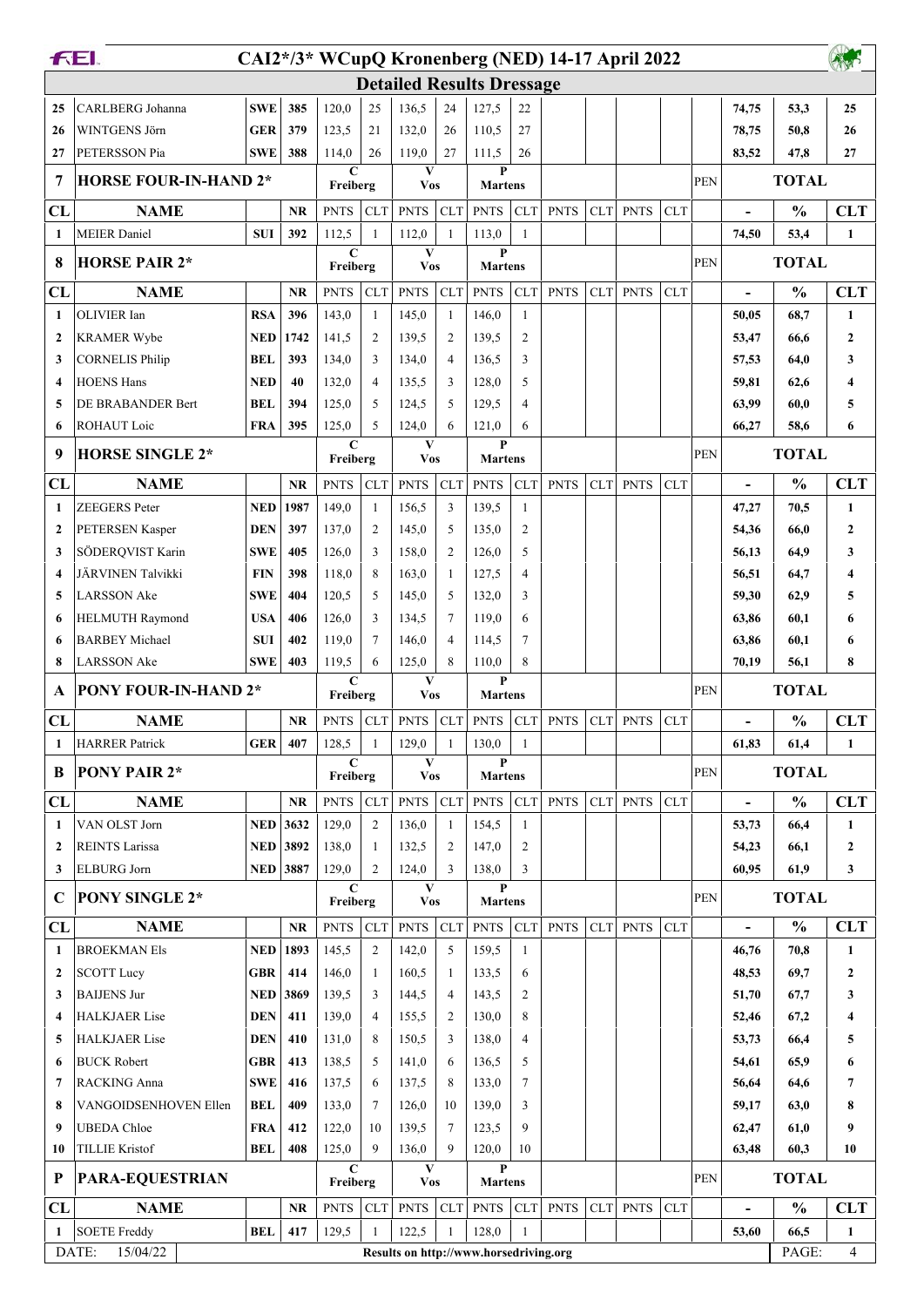|                         | <b>FEI.</b>                  |                 |                 |                         |                |                                        |                |                       |                | CAI2*/3* WCupQ Kronenberg (NED) 14-17 April 2022 |            |             |            |            |                          |               |              |
|-------------------------|------------------------------|-----------------|-----------------|-------------------------|----------------|----------------------------------------|----------------|-----------------------|----------------|--------------------------------------------------|------------|-------------|------------|------------|--------------------------|---------------|--------------|
|                         |                              |                 |                 |                         |                | <b>Detailed Results Dressage</b>       |                |                       |                |                                                  |            |             |            |            |                          |               |              |
| 25                      | CARLBERG Johanna             | <b>SWE</b>      | 385             | 120,0                   | 25             | 136,5                                  | 24             | 127,5                 | 22             |                                                  |            |             |            |            | 74,75                    | 53,3          | 25           |
| 26                      | WINTGENS Jörn                | <b>GER</b>      | 379             | 123,5                   | 21             | 132,0                                  | 26             | 110,5                 | 27             |                                                  |            |             |            |            | 78,75                    | 50,8          | 26           |
| 27                      | PETERSSON Pia                | <b>SWE</b>      | 388             | 114,0                   | 26             | 119,0                                  | 27             | 111,5                 | 26             |                                                  |            |             |            |            | 83,52                    | 47,8          | 27           |
| 7                       | <b>HORSE FOUR-IN-HAND 2*</b> |                 |                 | $\mathbf C$<br>Freiberg |                | $\mathbf{V}$<br><b>Vos</b>             |                | P<br><b>Martens</b>   |                |                                                  |            |             |            | <b>PEN</b> |                          | <b>TOTAL</b>  |              |
| CL                      | <b>NAME</b>                  |                 | <b>NR</b>       | <b>PNTS</b>             | <b>CLT</b>     | <b>PNTS</b>                            | CLT            | <b>PNTS</b>           | <b>CLT</b>     | <b>PNTS</b>                                      | <b>CLT</b> | <b>PNTS</b> | <b>CLT</b> |            | $\overline{\phantom{a}}$ | $\frac{0}{0}$ | <b>CLT</b>   |
| 1                       | <b>MEIER</b> Daniel          | <b>SUI</b>      | 392             | 112,5                   | $\mathbf{1}$   | 112,0                                  | $\mathbf{1}$   | 113,0                 | $\mathbf{1}$   |                                                  |            |             |            |            | 74,50                    | 53,4          | $\mathbf{1}$ |
| 8                       | <b>HORSE PAIR 2*</b>         |                 |                 | $\mathbf C$<br>Freiberg |                | V<br><b>Vos</b>                        |                | P<br><b>Martens</b>   |                |                                                  |            |             |            | <b>PEN</b> |                          | <b>TOTAL</b>  |              |
| CL                      | <b>NAME</b>                  |                 | <b>NR</b>       | <b>PNTS</b>             | <b>CLT</b>     | <b>PNTS</b>                            | <b>CLT</b>     | <b>PNTS</b>           | <b>CLT</b>     | <b>PNTS</b>                                      | <b>CLT</b> | <b>PNTS</b> | <b>CLT</b> |            |                          | $\frac{0}{0}$ | <b>CLT</b>   |
| 1                       | <b>OLIVIER</b> Ian           | <b>RSA</b>      | 396             | 143,0                   | 1              | 145,0                                  | 1              | 146,0                 | $\mathbf{1}$   |                                                  |            |             |            |            | 50,05                    | 68,7          | 1            |
| $\mathbf{2}$            | <b>KRAMER Wybe</b>           | NED             | 1742            | 141,5                   | $\overline{2}$ | 139,5                                  | 2              | 139,5                 | $\overline{c}$ |                                                  |            |             |            |            | 53,47                    | 66,6          | 2            |
| 3                       | <b>CORNELIS Philip</b>       | BEL             | 393             | 134,0                   | 3              | 134,0                                  | $\overline{4}$ | 136,5                 | 3              |                                                  |            |             |            |            | 57,53                    | 64,0          | 3            |
| 4                       | <b>HOENS Hans</b>            | <b>NED</b>      | 40              | 132,0                   | $\overline{4}$ | 135,5                                  | 3              | 128,0                 | 5              |                                                  |            |             |            |            | 59,81                    | 62,6          | 4            |
| 5                       | DE BRABANDER Bert            | <b>BEL</b>      | 394             | 125,0                   | 5              | 124,5                                  | 5              | 129,5                 | $\overline{4}$ |                                                  |            |             |            |            | 63,99                    | 60,0          | 5            |
| 6                       | ROHAUT Loic                  | <b>FRA</b>      | 395             | 125,0                   | 5              | 124,0                                  | 6              | 121,0                 | 6              |                                                  |            |             |            |            | 66,27                    | 58,6          | 6            |
| 9                       | <b>HORSE SINGLE 2*</b>       |                 |                 | C<br>Freiberg           |                | V<br><b>Vos</b>                        |                | P<br><b>Martens</b>   |                |                                                  |            |             |            | <b>PEN</b> |                          | <b>TOTAL</b>  |              |
| CL                      | <b>NAME</b>                  |                 | <b>NR</b>       | <b>PNTS</b>             | <b>CLT</b>     | <b>PNTS</b>                            | CLT            | <b>PNTS</b>           | <b>CLT</b>     | <b>PNTS</b>                                      | CLT        | <b>PNTS</b> | <b>CLT</b> |            |                          | $\frac{0}{0}$ | <b>CLT</b>   |
| 1                       | <b>ZEEGERS</b> Peter         | <b>NED</b>      | 1987            | 149,0                   | 1              | 156,5                                  | 3              | 139,5                 | 1              |                                                  |            |             |            |            | 47,27                    | 70,5          | 1            |
| $\mathbf{2}$            | PETERSEN Kasper              | <b>DEN</b>      | 397             | 137,0                   | $\overline{2}$ | 145,0                                  | 5              | 135,0                 | 2              |                                                  |            |             |            |            | 54,36                    | 66,0          | $\mathbf{2}$ |
| 3                       | SÖDERQVIST Karin             | <b>SWE</b>      | 405             | 126,0                   | 3              | 158,0                                  | $\overline{2}$ | 126,0                 | 5              |                                                  |            |             |            |            | 56,13                    | 64,9          | 3            |
| $\overline{\mathbf{4}}$ | JÄRVINEN Talvikki            | <b>FIN</b>      | 398             | 118,0                   | 8              | 163,0                                  | $\overline{1}$ | 127,5                 | $\overline{4}$ |                                                  |            |             |            |            | 56,51                    | 64,7          | 4            |
| 5                       | <b>LARSSON</b> Ake           | <b>SWE</b>      | 404             | 120,5                   | 5              | 145,0                                  | 5              | 132,0                 | 3              |                                                  |            |             |            |            | 59,30                    | 62,9          | 5            |
| 6                       | <b>HELMUTH Raymond</b>       | <b>USA</b>      | 406             | 126,0                   | 3              | 134,5                                  | $\overline{7}$ | 119,0                 | 6              |                                                  |            |             |            |            | 63,86                    | 60,1          | 6            |
| 6                       | <b>BARBEY Michael</b>        | <b>SUI</b>      | 402             | 119,0                   | $\overline{7}$ | 146,0                                  | $\overline{4}$ | 114,5                 | $\tau$         |                                                  |            |             |            |            | 63,86                    | 60,1          | 6            |
| 8                       | <b>LARSSON Ake</b>           | <b>SWE</b>      | 403             | 119,5                   | 6              | 125,0                                  | 8              | 110,0                 | 8              |                                                  |            |             |            |            | 70,19                    | 56.1          | 8            |
|                         |                              |                 |                 | C                       |                | V                                      |                | P                     |                |                                                  |            |             |            |            |                          |               |              |
| A                       | PONY FOUR-IN-HAND 2*         |                 |                 | Freiberg                |                | <b>Vos</b>                             |                | <b>Martens</b>        |                |                                                  |            |             |            | <b>PEN</b> |                          | <b>TOTAL</b>  |              |
| CL                      | <b>NAME</b>                  |                 | <b>NR</b>       | <b>PNTS</b>             | <b>CLT</b>     | <b>PNTS</b>                            | CLT            | <b>PNTS</b>           | <b>CLT</b>     | <b>PNTS</b>                                      | <b>CLT</b> | <b>PNTS</b> | <b>CLT</b> |            |                          | $\frac{0}{0}$ | <b>CLT</b>   |
| 1                       | <b>HARRER Patrick</b>        | GER             | 407             | 128,5<br>$\mathbf C$    | 1              | 129,0<br>V                             | 1              | 130,0<br>P            | 1              |                                                  |            |             |            |            | 61,83                    | 61,4          | $\mathbf{1}$ |
| B                       | PONY PAIR 2*                 |                 |                 | Freiberg                |                | <b>Vos</b>                             |                | <b>Martens</b>        |                |                                                  |            |             |            | <b>PEN</b> |                          | <b>TOTAL</b>  |              |
| CL                      | <b>NAME</b>                  |                 | <b>NR</b>       | <b>PNTS</b>             | <b>CLT</b>     | <b>PNTS</b>                            | CLT            | <b>PNTS</b>           | <b>CLT</b>     | <b>PNTS</b>                                      | CLT        | <b>PNTS</b> | <b>CLT</b> |            | $\blacksquare$           | $\frac{0}{0}$ | <b>CLT</b>   |
| $\mathbf{1}$            | VAN OLST Jorn                | <b>NED</b>      | 3632            | 129,0                   | $\overline{2}$ | 136,0                                  | -1             | 154,5                 | 1              |                                                  |            |             |            |            | 53,73                    | 66,4          | 1            |
| 2                       | <b>REINTS Larissa</b>        |                 | <b>NED</b> 3892 | 138,0                   | -1             | 132,5                                  | 2              | 147,0                 | 2              |                                                  |            |             |            |            | 54,23                    | 66,1          | 2            |
| 3                       | <b>ELBURG</b> Jorn           | <b>NED 3887</b> |                 | 129,0<br>$\mathbf C$    | 2              | 124,0<br>V                             | 3              | 138,0<br>$\mathbf{P}$ | 3              |                                                  |            |             |            |            | 60,95                    | 61,9          | 3            |
| $\mathbf C$             | <b>PONY SINGLE 2*</b>        |                 |                 | Freiberg                |                | <b>Vos</b>                             |                | <b>Martens</b>        |                |                                                  |            |             |            | <b>PEN</b> |                          | <b>TOTAL</b>  |              |
| CL                      | <b>NAME</b>                  |                 | <b>NR</b>       | <b>PNTS</b>             | <b>CLT</b>     | <b>PNTS</b>                            | CLT            | <b>PNTS</b>           | <b>CLT</b>     | <b>PNTS</b>                                      | CLT        | <b>PNTS</b> | CLT        |            | $\overline{\phantom{a}}$ | $\frac{0}{0}$ | <b>CLT</b>   |
| 1                       | <b>BROEKMAN Els</b>          | <b>NED</b>      | 1893            | 145,5                   | 2              | 142,0                                  | 5              | 159,5                 | $\mathbf{1}$   |                                                  |            |             |            |            | 46,76                    | 70,8          | 1            |
| 2                       | <b>SCOTT Lucy</b>            | <b>GBR</b>      | 414             | 146,0                   | -1             | 160,5                                  | -1             | 133,5                 | 6              |                                                  |            |             |            |            | 48,53                    | 69,7          | 2            |
| 3                       | <b>BAIJENS Jur</b>           | NED             | 3869            | 139,5                   | 3              | 144,5                                  | $\overline{4}$ | 143,5                 | 2              |                                                  |            |             |            |            | 51,70                    | 67,7          | 3            |
| 4                       | <b>HALKJAER Lise</b>         | DEN             | 411             | 139,0                   | 4              | 155,5                                  | 2              | 130,0                 | 8              |                                                  |            |             |            |            | 52,46                    | 67,2          | 4            |
| 5                       | <b>HALKJAER Lise</b>         | <b>DEN</b>      | 410             | 131,0                   | 8              | 150,5                                  | 3              | 138,0                 | 4              |                                                  |            |             |            |            | 53,73                    | 66,4          | 5            |
| 6                       | <b>BUCK Robert</b>           | <b>GBR</b>      | 413             | 138,5                   | 5              | 141,0                                  | 6              | 136,5                 | 5              |                                                  |            |             |            |            | 54,61                    | 65,9          | 6            |
| 7                       | RACKING Anna                 | <b>SWE</b>      | 416             | 137,5                   | 6              | 137,5                                  | 8              | 133,0                 | 7              |                                                  |            |             |            |            | 56,64                    | 64,6          | 7            |
| 8                       | VANGOIDSENHOVEN Ellen        | BEL             | 409             | 133,0                   | 7              | 126,0                                  | 10             | 139,0                 | 3              |                                                  |            |             |            |            | 59,17                    | 63,0          | 8            |
| 9                       | <b>UBEDA</b> Chloe           | <b>FRA</b>      | 412             | 122,0                   | 10             | 139,5                                  | 7              | 123,5                 | 9              |                                                  |            |             |            |            | 62,47                    | 61,0          | 9            |
| 10                      | <b>TILLIE Kristof</b>        | BEL             | 408             | 125,0                   | 9              | 136,0                                  | 9              | 120,0                 | 10             |                                                  |            |             |            |            | 63,48                    | 60,3          | 10           |
| P                       | <b>PARA-EQUESTRIAN</b>       |                 |                 | $\mathbf C$<br>Freiberg |                | V<br><b>Vos</b>                        |                | P<br><b>Martens</b>   |                |                                                  |            |             |            | <b>PEN</b> |                          | <b>TOTAL</b>  |              |
| CL                      | <b>NAME</b>                  |                 | NR              | <b>PNTS</b>             | <b>CLT</b>     | <b>PNTS</b>                            | CLT            | <b>PNTS</b>           | <b>CLT</b>     | <b>PNTS</b>                                      | <b>CLT</b> | <b>PNTS</b> | <b>CLT</b> |            | $\overline{\phantom{a}}$ | $\frac{0}{0}$ | <b>CLT</b>   |
| 1                       | <b>SOETE Freddy</b>          | <b>BEL</b>      | 417             | 129,5                   | 1              | 122,5                                  | $\mathbf{1}$   | 128,0                 | $\mathbf{1}$   |                                                  |            |             |            |            | 53,60                    | 66,5          | $\mathbf{1}$ |
|                         | DATE:<br>15/04/22            |                 |                 |                         |                | Results on http://www.horsedriving.org |                |                       |                |                                                  |            |             |            |            |                          | PAGE:         | 4            |